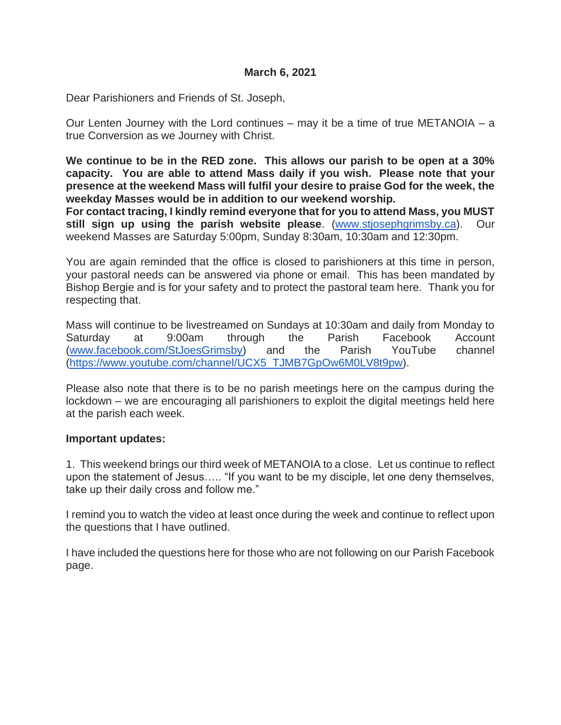Dear Parishioners and Friends of St. Joseph,

Our Lenten Journey with the Lord continues – may it be a time of true METANOIA – a true Conversion as we Journey with Christ.

**We continue to be in the RED zone. This allows our parish to be open at a 30% capacity. You are able to attend Mass daily if you wish. Please note that your presence at the weekend Mass will fulfil your desire to praise God for the week, the weekday Masses would be in addition to our weekend worship.** 

**For contact tracing, I kindly remind everyone that for you to attend Mass, you MUST still sign up using the parish website please**. [\(www.stjosephgrimsby.ca\)](http://www.stjosephgrimsby.ca/). Our weekend Masses are Saturday 5:00pm, Sunday 8:30am, 10:30am and 12:30pm.

You are again reminded that the office is closed to parishioners at this time in person, your pastoral needs can be answered via phone or email. This has been mandated by Bishop Bergie and is for your safety and to protect the pastoral team here. Thank you for respecting that.

Mass will continue to be livestreamed on Sundays at 10:30am and daily from Monday to Saturday at 9:00am through the Parish Facebook Account [\(www.facebook.com/StJoesGrimsby\)](http://www.facebook.com/StJoesGrimsby) and the Parish YouTube channel [\(https://www.youtube.com/channel/UCX5\\_TJMB7GpOw6M0LV8t9pw\)](https://www.youtube.com/channel/UCX5_TJMB7GpOw6M0LV8t9pw).

Please also note that there is to be no parish meetings here on the campus during the lockdown – we are encouraging all parishioners to exploit the digital meetings held here at the parish each week.

### **Important updates:**

1. This weekend brings our third week of METANOIA to a close. Let us continue to reflect upon the statement of Jesus….. "If you want to be my disciple, let one deny themselves, take up their daily cross and follow me."

I remind you to watch the video at least once during the week and continue to reflect upon the questions that I have outlined.

I have included the questions here for those who are not following on our Parish Facebook page.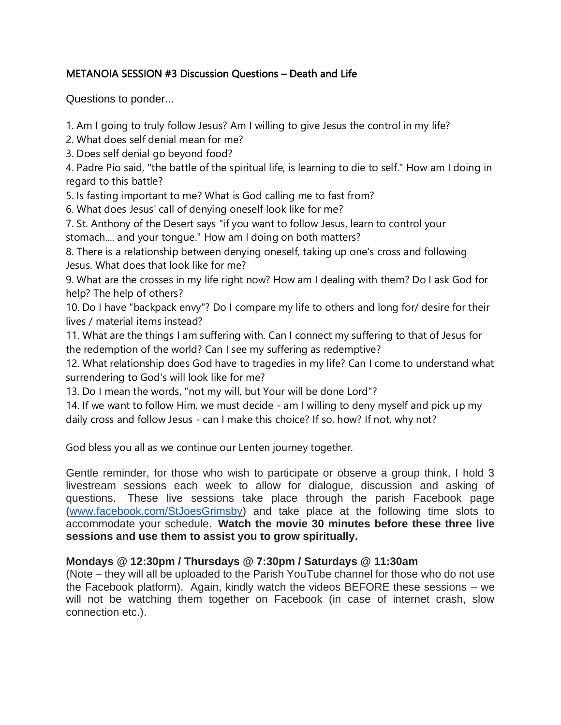# METANOIA SESSION #3 Discussion Questions – Death and Life

Questions to ponder...

1. Am I going to truly follow Jesus? Am I willing to give Jesus the control in my life?

2. What does self denial mean for me?

3. Does self denial go beyond food?

4. Padre Pio said, "the battle of the spiritual life, is learning to die to self." How am I doing in regard to this battle?

5. Is fasting important to me? What is God calling me to fast from?

6. What does Jesus' call of denying oneself look like for me?

7. St. Anthony of the Desert says "if you want to follow Jesus, learn to control your stomach.... and your tongue." How am I doing on both matters?

8. There is a relationship between denying oneself, taking up one's cross and following Jesus. What does that look like for me?

9. What are the crosses in my life right now? How am I dealing with them? Do I ask God for help? The help of others?

10. Do I have "backpack envy"? Do I compare my life to others and long for/ desire for their lives / material items instead?

11. What are the things I am suffering with. Can I connect my suffering to that of Jesus for the redemption of the world? Can I see my suffering as redemptive?

12. What relationship does God have to tragedies in my life? Can I come to understand what surrendering to God's will look like for me?

13. Do I mean the words, "not my will, but Your will be done Lord"?

14. If we want to follow Him, we must decide - am I willing to deny myself and pick up my daily cross and follow Jesus - can I make this choice? If so, how? If not, why not?

God bless you all as we continue our Lenten journey together.

Gentle reminder, for those who wish to participate or observe a group think, I hold 3 livestream sessions each week to allow for dialogue, discussion and asking of questions. These live sessions take place through the parish Facebook page [\(www.facebook.com/StJoesGrimsby\)](http://www.facebook.com/StJoesGrimsby) and take place at the following time slots to accommodate your schedule. **Watch the movie 30 minutes before these three live sessions and use them to assist you to grow spiritually.**

## **Mondays @ 12:30pm / Thursdays @ 7:30pm / Saturdays @ 11:30am**

(Note – they will all be uploaded to the Parish YouTube channel for those who do not use the Facebook platform). Again, kindly watch the videos BEFORE these sessions – we will not be watching them together on Facebook (in case of internet crash, slow connection etc.).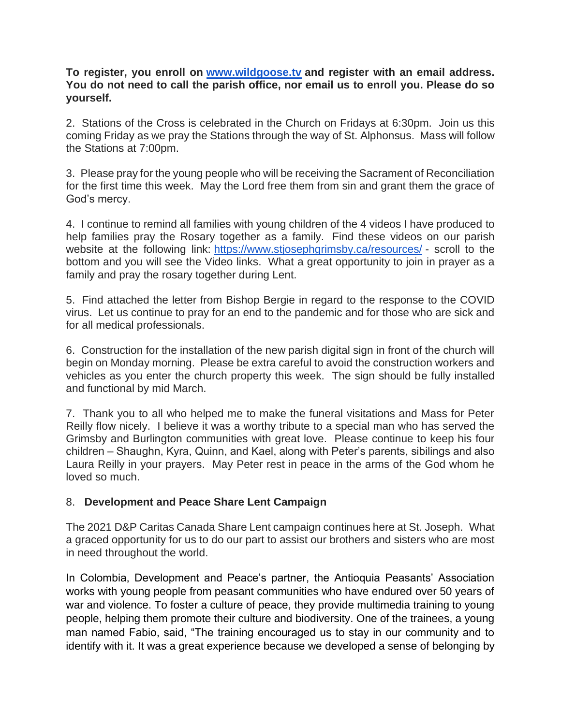**To register, you enroll on [www.wildgoose.tv](http://www.wildgoose.tv/) and register with an email address. You do not need to call the parish office, nor email us to enroll you. Please do so yourself.**

2. Stations of the Cross is celebrated in the Church on Fridays at 6:30pm. Join us this coming Friday as we pray the Stations through the way of St. Alphonsus. Mass will follow the Stations at 7:00pm.

3. Please pray for the young people who will be receiving the Sacrament of Reconciliation for the first time this week. May the Lord free them from sin and grant them the grace of God's mercy.

4. I continue to remind all families with young children of the 4 videos I have produced to help families pray the Rosary together as a family. Find these videos on our parish website at the following link: <https://www.stjosephgrimsby.ca/resources/> - scroll to the bottom and you will see the Video links. What a great opportunity to join in prayer as a family and pray the rosary together during Lent.

5. Find attached the letter from Bishop Bergie in regard to the response to the COVID virus. Let us continue to pray for an end to the pandemic and for those who are sick and for all medical professionals.

6. Construction for the installation of the new parish digital sign in front of the church will begin on Monday morning. Please be extra careful to avoid the construction workers and vehicles as you enter the church property this week. The sign should be fully installed and functional by mid March.

7. Thank you to all who helped me to make the funeral visitations and Mass for Peter Reilly flow nicely. I believe it was a worthy tribute to a special man who has served the Grimsby and Burlington communities with great love. Please continue to keep his four children – Shaughn, Kyra, Quinn, and Kael, along with Peter's parents, sibilings and also Laura Reilly in your prayers. May Peter rest in peace in the arms of the God whom he loved so much.

## 8. **Development and Peace Share Lent Campaign**

The 2021 D&P Caritas Canada Share Lent campaign continues here at St. Joseph. What a graced opportunity for us to do our part to assist our brothers and sisters who are most in need throughout the world.

In Colombia, Development and Peace's partner, the Antioquia Peasants' Association works with young people from peasant communities who have endured over 50 years of war and violence. To foster a culture of peace, they provide multimedia training to young people, helping them promote their culture and biodiversity. One of the trainees, a young man named Fabio, said, "The training encouraged us to stay in our community and to identify with it. It was a great experience because we developed a sense of belonging by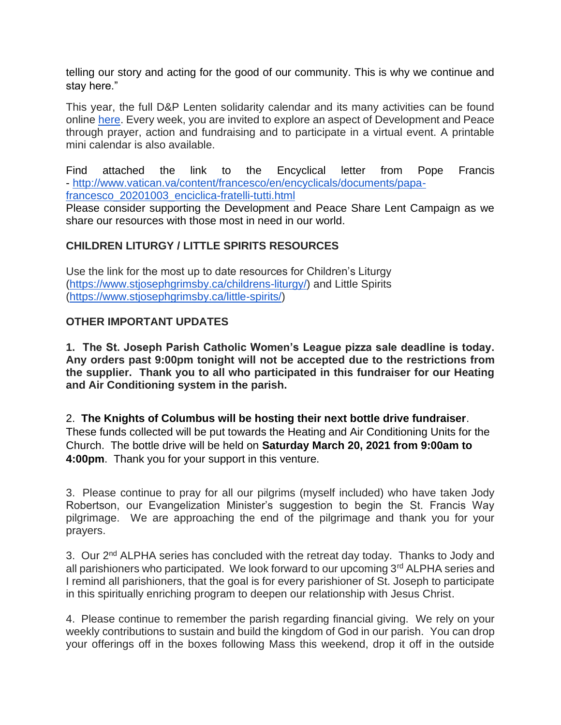telling our story and acting for the good of our community. This is why we continue and stay here."

This year, the full D&P Lenten solidarity calendar and its many activities can be found online [here.](https://www.devp.org/en/lentcalendar-2021) Every week, you are invited to explore an aspect of Development and Peace through prayer, action and fundraising and to participate in a virtual event. A printable mini calendar is also available.

Find attached the link to the Encyclical letter from Pope Francis - [http://www.vatican.va/content/francesco/en/encyclicals/documents/papa](http://www.vatican.va/content/francesco/en/encyclicals/documents/papa-francesco_20201003_enciclica-fratelli-tutti.html)[francesco\\_20201003\\_enciclica-fratelli-tutti.html](http://www.vatican.va/content/francesco/en/encyclicals/documents/papa-francesco_20201003_enciclica-fratelli-tutti.html)

Please consider supporting the Development and Peace Share Lent Campaign as we share our resources with those most in need in our world.

## **CHILDREN LITURGY / LITTLE SPIRITS RESOURCES**

Use the link for the most up to date resources for Children's Liturgy [\(https://www.stjosephgrimsby.ca/childrens-liturgy/\)](https://www.stjosephgrimsby.ca/childrens-liturgy/) and Little Spirits [\(https://www.stjosephgrimsby.ca/little-spirits/\)](https://www.stjosephgrimsby.ca/little-spirits/)

## **OTHER IMPORTANT UPDATES**

**1. The St. Joseph Parish Catholic Women's League pizza sale deadline is today. Any orders past 9:00pm tonight will not be accepted due to the restrictions from the supplier. Thank you to all who participated in this fundraiser for our Heating and Air Conditioning system in the parish.** 

2. **The Knights of Columbus will be hosting their next bottle drive fundraiser**. These funds collected will be put towards the Heating and Air Conditioning Units for the Church. The bottle drive will be held on **Saturday March 20, 2021 from 9:00am to 4:00pm**. Thank you for your support in this venture.

3. Please continue to pray for all our pilgrims (myself included) who have taken Jody Robertson, our Evangelization Minister's suggestion to begin the St. Francis Way pilgrimage. We are approaching the end of the pilgrimage and thank you for your prayers.

3. Our 2<sup>nd</sup> ALPHA series has concluded with the retreat day today. Thanks to Jody and all parishioners who participated. We look forward to our upcoming 3<sup>rd</sup> ALPHA series and I remind all parishioners, that the goal is for every parishioner of St. Joseph to participate in this spiritually enriching program to deepen our relationship with Jesus Christ.

4. Please continue to remember the parish regarding financial giving. We rely on your weekly contributions to sustain and build the kingdom of God in our parish. You can drop your offerings off in the boxes following Mass this weekend, drop it off in the outside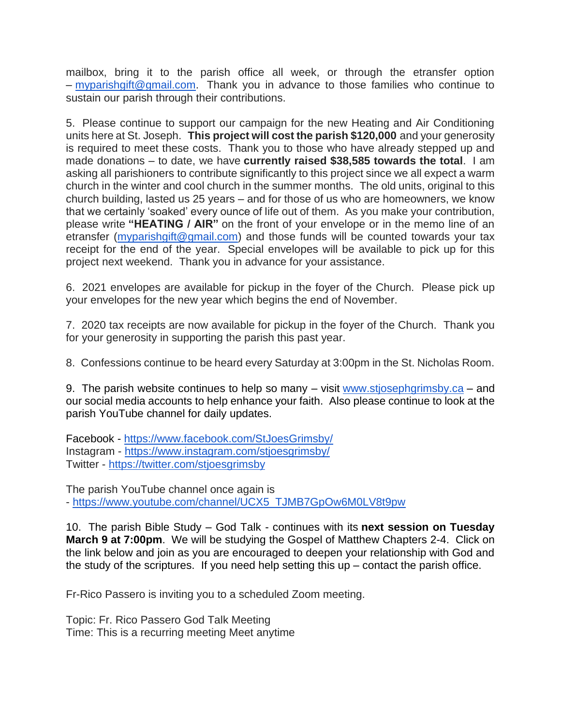mailbox, bring it to the parish office all week, or through the etransfer option – [myparishgift@gmail.com.](mailto:myparishgift@gmail.com) Thank you in advance to those families who continue to sustain our parish through their contributions.

5. Please continue to support our campaign for the new Heating and Air Conditioning units here at St. Joseph. **This project will cost the parish \$120,000** and your generosity is required to meet these costs. Thank you to those who have already stepped up and made donations – to date, we have **currently raised \$38,585 towards the total**. I am asking all parishioners to contribute significantly to this project since we all expect a warm church in the winter and cool church in the summer months. The old units, original to this church building, lasted us 25 years – and for those of us who are homeowners, we know that we certainly 'soaked' every ounce of life out of them. As you make your contribution, please write **"HEATING / AIR"** on the front of your envelope or in the memo line of an etransfer [\(myparishgift@gmail.com\)](mailto:myparishgift@gmail.com) and those funds will be counted towards your tax receipt for the end of the year. Special envelopes will be available to pick up for this project next weekend. Thank you in advance for your assistance.

6. 2021 envelopes are available for pickup in the foyer of the Church. Please pick up your envelopes for the new year which begins the end of November.

7. 2020 tax receipts are now available for pickup in the foyer of the Church. Thank you for your generosity in supporting the parish this past year.

8. Confessions continue to be heard every Saturday at 3:00pm in the St. Nicholas Room.

9. The parish website continues to help so many – visit [www.stjosephgrimsby.ca](http://www.stjosephgrimsby.ca/) – and our social media accounts to help enhance your faith. Also please continue to look at the parish YouTube channel for daily updates.

Facebook - <https://www.facebook.com/StJoesGrimsby/> Instagram - <https://www.instagram.com/stjoesgrimsby/> Twitter - <https://twitter.com/stjoesgrimsby>

The parish YouTube channel once again is - [https://www.youtube.com/channel/UCX5\\_TJMB7GpOw6M0LV8t9pw](https://www.youtube.com/channel/UCX5_TJMB7GpOw6M0LV8t9pw)

10. The parish Bible Study – God Talk - continues with its **next session on Tuesday March 9 at 7:00pm**. We will be studying the Gospel of Matthew Chapters 2-4. Click on the link below and join as you are encouraged to deepen your relationship with God and the study of the scriptures. If you need help setting this  $up$  – contact the parish office.

Fr-Rico Passero is inviting you to a scheduled Zoom meeting.

Topic: Fr. Rico Passero God Talk Meeting Time: This is a recurring meeting Meet anytime